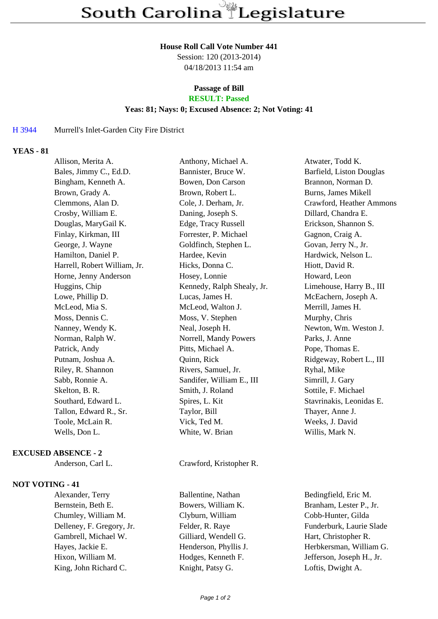#### **House Roll Call Vote Number 441**

Session: 120 (2013-2014) 04/18/2013 11:54 am

# **Passage of Bill**

## **RESULT: Passed**

#### **Yeas: 81; Nays: 0; Excused Absence: 2; Not Voting: 41**

## H 3944 Murrell's Inlet-Garden City Fire District

## **YEAS - 81**

| Allison, Merita A.           | Anthony, Michael A.        | Atwater, Todd K.         |
|------------------------------|----------------------------|--------------------------|
| Bales, Jimmy C., Ed.D.       | Bannister, Bruce W.        | Barfield, Liston Douglas |
| Bingham, Kenneth A.          | Bowen, Don Carson          | Brannon, Norman D.       |
| Brown, Grady A.              | Brown, Robert L.           | Burns, James Mikell      |
| Clemmons, Alan D.            | Cole, J. Derham, Jr.       | Crawford, Heather Ammons |
| Crosby, William E.           | Daning, Joseph S.          | Dillard, Chandra E.      |
| Douglas, MaryGail K.         | Edge, Tracy Russell        | Erickson, Shannon S.     |
| Finlay, Kirkman, III         | Forrester, P. Michael      | Gagnon, Craig A.         |
| George, J. Wayne             | Goldfinch, Stephen L.      | Govan, Jerry N., Jr.     |
| Hamilton, Daniel P.          | Hardee, Kevin              | Hardwick, Nelson L.      |
| Harrell, Robert William, Jr. | Hicks, Donna C.            | Hiott, David R.          |
| Horne, Jenny Anderson        | Hosey, Lonnie              | Howard, Leon             |
| Huggins, Chip                | Kennedy, Ralph Shealy, Jr. | Limehouse, Harry B., III |
| Lowe, Phillip D.             | Lucas, James H.            | McEachern, Joseph A.     |
| McLeod, Mia S.               | McLeod, Walton J.          | Merrill, James H.        |
| Moss, Dennis C.              | Moss, V. Stephen           | Murphy, Chris            |
| Nanney, Wendy K.             | Neal, Joseph H.            | Newton, Wm. Weston J.    |
| Norman, Ralph W.             | Norrell, Mandy Powers      | Parks, J. Anne           |
| Patrick, Andy                | Pitts, Michael A.          | Pope, Thomas E.          |
| Putnam, Joshua A.            | Quinn, Rick                | Ridgeway, Robert L., III |
| Riley, R. Shannon            | Rivers, Samuel, Jr.        | Ryhal, Mike              |
| Sabb, Ronnie A.              | Sandifer, William E., III  | Simrill, J. Gary         |
| Skelton, B. R.               | Smith, J. Roland           | Sottile, F. Michael      |
| Southard, Edward L.          | Spires, L. Kit             | Stavrinakis, Leonidas E. |
| Tallon, Edward R., Sr.       | Taylor, Bill               | Thayer, Anne J.          |
| Toole, McLain R.             | Vick, Ted M.               | Weeks, J. David          |
| Wells, Don L.                | White, W. Brian            | Willis, Mark N.          |
|                              |                            |                          |

#### **EXCUSED ABSENCE - 2**

#### **NOT VOTING - 41**

Bernstein, Beth E. Bowers, William K. Branham, Lester P., Jr. Chumley, William M. Clyburn, William Cobb-Hunter, Gilda Gambrell, Michael W. Gilliard, Wendell G. Hart, Christopher R. King, John Richard C. Knight, Patsy G. Loftis, Dwight A.

Anderson, Carl L. Crawford, Kristopher R.

Alexander, Terry Ballentine, Nathan Bedingfield, Eric M. Delleney, F. Gregory, Jr. Felder, R. Raye Funderburk, Laurie Slade Hayes, Jackie E. **Henderson**, Phyllis J. **Herbkersman**, William G. Hixon, William M. Hodges, Kenneth F. Jefferson, Joseph H., Jr.